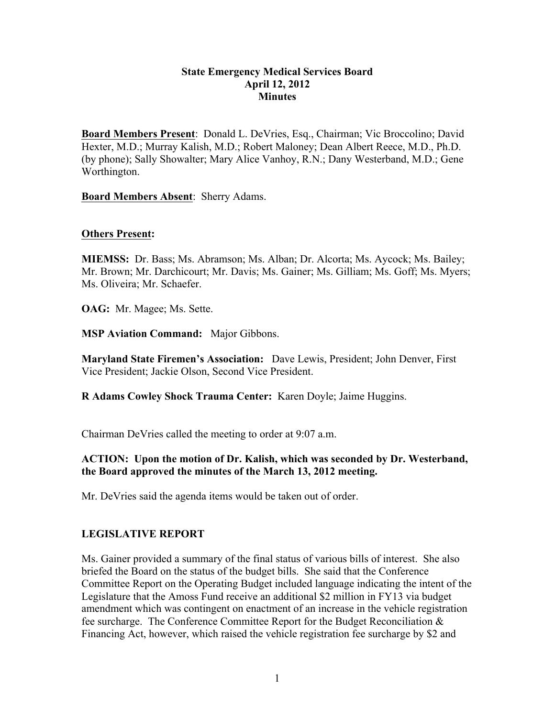### **State Emergency Medical Services Board April 12, 2012 Minutes**

**Board Members Present**: Donald L. DeVries, Esq., Chairman; Vic Broccolino; David Hexter, M.D.; Murray Kalish, M.D.; Robert Maloney; Dean Albert Reece, M.D., Ph.D. (by phone); Sally Showalter; Mary Alice Vanhoy, R.N.; Dany Westerband, M.D.; Gene Worthington.

**Board Members Absent**: Sherry Adams.

#### **Others Present:**

**MIEMSS:** Dr. Bass; Ms. Abramson; Ms. Alban; Dr. Alcorta; Ms. Aycock; Ms. Bailey; Mr. Brown; Mr. Darchicourt; Mr. Davis; Ms. Gainer; Ms. Gilliam; Ms. Goff; Ms. Myers; Ms. Oliveira; Mr. Schaefer.

**OAG:** Mr. Magee; Ms. Sette.

**MSP Aviation Command:** Major Gibbons.

**Maryland State Firemen's Association:** Dave Lewis, President; John Denver, First Vice President; Jackie Olson, Second Vice President.

**R Adams Cowley Shock Trauma Center:** Karen Doyle; Jaime Huggins.

Chairman DeVries called the meeting to order at 9:07 a.m.

### **ACTION: Upon the motion of Dr. Kalish, which was seconded by Dr. Westerband, the Board approved the minutes of the March 13, 2012 meeting.**

Mr. DeVries said the agenda items would be taken out of order.

#### **LEGISLATIVE REPORT**

Ms. Gainer provided a summary of the final status of various bills of interest. She also briefed the Board on the status of the budget bills. She said that the Conference Committee Report on the Operating Budget included language indicating the intent of the Legislature that the Amoss Fund receive an additional \$2 million in FY13 via budget amendment which was contingent on enactment of an increase in the vehicle registration fee surcharge. The Conference Committee Report for the Budget Reconciliation & Financing Act, however, which raised the vehicle registration fee surcharge by \$2 and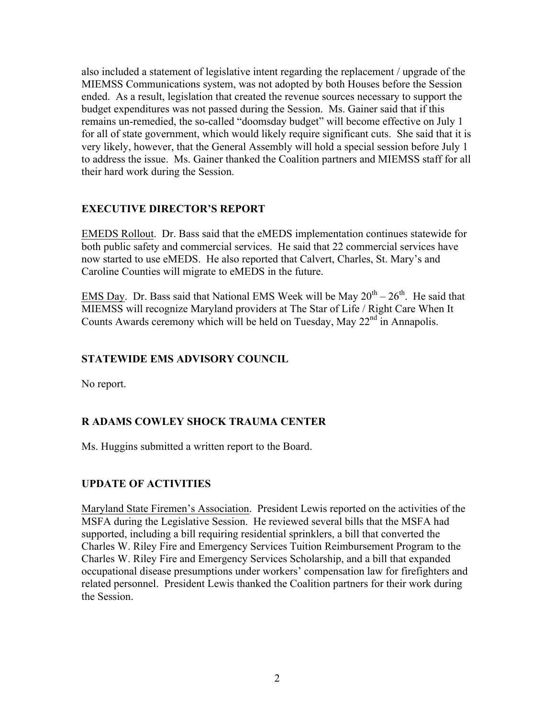also included a statement of legislative intent regarding the replacement / upgrade of the MIEMSS Communications system, was not adopted by both Houses before the Session ended. As a result, legislation that created the revenue sources necessary to support the budget expenditures was not passed during the Session. Ms. Gainer said that if this remains un-remedied, the so-called "doomsday budget" will become effective on July 1 for all of state government, which would likely require significant cuts. She said that it is very likely, however, that the General Assembly will hold a special session before July 1 to address the issue. Ms. Gainer thanked the Coalition partners and MIEMSS staff for all their hard work during the Session.

# **EXECUTIVE DIRECTOR'S REPORT**

EMEDS Rollout. Dr. Bass said that the eMEDS implementation continues statewide for both public safety and commercial services. He said that 22 commercial services have now started to use eMEDS. He also reported that Calvert, Charles, St. Mary's and Caroline Counties will migrate to eMEDS in the future.

EMS Day. Dr. Bass said that National EMS Week will be May  $20^{th} - 26^{th}$ . He said that MIEMSS will recognize Maryland providers at The Star of Life / Right Care When It Counts Awards ceremony which will be held on Tuesday, May 22<sup>nd</sup> in Annapolis.

# **STATEWIDE EMS ADVISORY COUNCIL**

No report.

# **R ADAMS COWLEY SHOCK TRAUMA CENTER**

Ms. Huggins submitted a written report to the Board.

# **UPDATE OF ACTIVITIES**

Maryland State Firemen's Association. President Lewis reported on the activities of the MSFA during the Legislative Session. He reviewed several bills that the MSFA had supported, including a bill requiring residential sprinklers, a bill that converted the Charles W. Riley Fire and Emergency Services Tuition Reimbursement Program to the Charles W. Riley Fire and Emergency Services Scholarship, and a bill that expanded occupational disease presumptions under workers' compensation law for firefighters and related personnel. President Lewis thanked the Coalition partners for their work during the Session.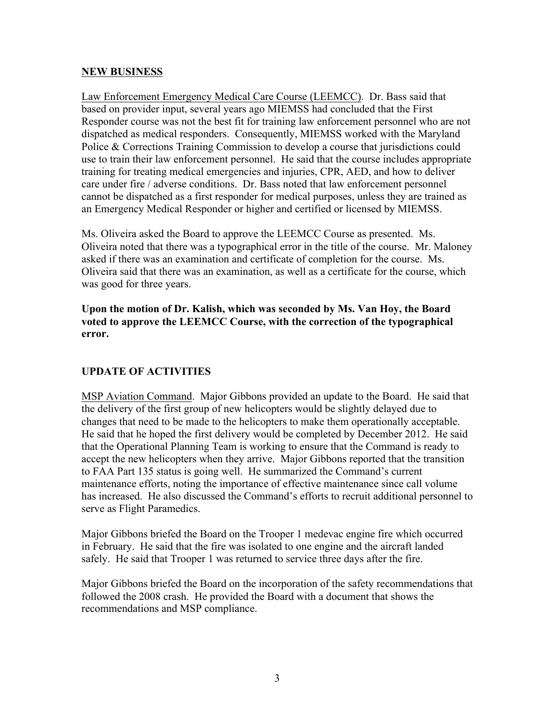### **NEW BUSINESS**

Law Enforcement Emergency Medical Care Course (LEEMCC). Dr. Bass said that based on provider input, several years ago MIEMSS had concluded that the First Responder course was not the best fit for training law enforcement personnel who are not dispatched as medical responders. Consequently, MIEMSS worked with the Maryland Police & Corrections Training Commission to develop a course that jurisdictions could use to train their law enforcement personnel. He said that the course includes appropriate training for treating medical emergencies and injuries, CPR, AED, and how to deliver care under fire / adverse conditions. Dr. Bass noted that law enforcement personnel cannot be dispatched as a first responder for medical purposes, unless they are trained as an Emergency Medical Responder or higher and certified or licensed by MIEMSS.

Ms. Oliveira asked the Board to approve the LEEMCC Course as presented. Ms. Oliveira noted that there was a typographical error in the title of the course. Mr. Maloney asked if there was an examination and certificate of completion for the course. Ms. Oliveira said that there was an examination, as well as a certificate for the course, which was good for three years.

**Upon the motion of Dr. Kalish, which was seconded by Ms. Van Hoy, the Board voted to approve the LEEMCC Course, with the correction of the typographical error.** 

# **UPDATE OF ACTIVITIES**

MSP Aviation Command. Major Gibbons provided an update to the Board. He said that the delivery of the first group of new helicopters would be slightly delayed due to changes that need to be made to the helicopters to make them operationally acceptable. He said that he hoped the first delivery would be completed by December 2012. He said that the Operational Planning Team is working to ensure that the Command is ready to accept the new helicopters when they arrive. Major Gibbons reported that the transition to FAA Part 135 status is going well. He summarized the Command's current maintenance efforts, noting the importance of effective maintenance since call volume has increased. He also discussed the Command's efforts to recruit additional personnel to serve as Flight Paramedics.

Major Gibbons briefed the Board on the Trooper 1 medevac engine fire which occurred in February. He said that the fire was isolated to one engine and the aircraft landed safely. He said that Trooper 1 was returned to service three days after the fire.

Major Gibbons briefed the Board on the incorporation of the safety recommendations that followed the 2008 crash. He provided the Board with a document that shows the recommendations and MSP compliance.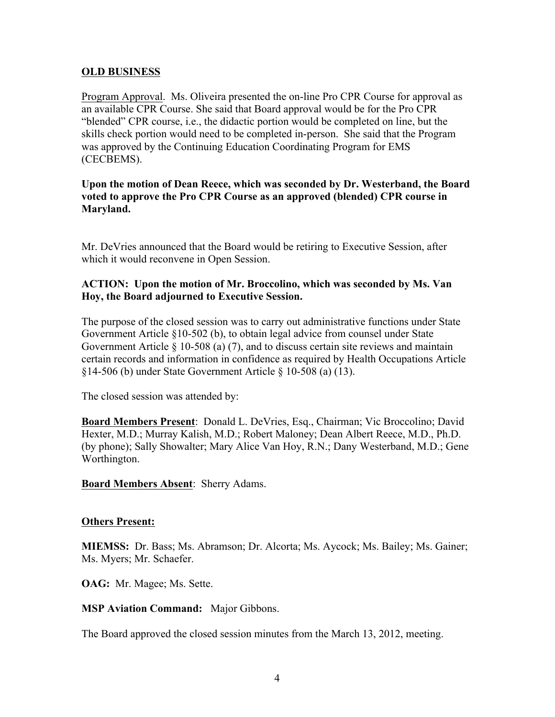### **OLD BUSINESS**

Program Approval. Ms. Oliveira presented the on-line Pro CPR Course for approval as an available CPR Course. She said that Board approval would be for the Pro CPR "blended" CPR course, i.e., the didactic portion would be completed on line, but the skills check portion would need to be completed in-person. She said that the Program was approved by the Continuing Education Coordinating Program for EMS (CECBEMS).

## **Upon the motion of Dean Reece, which was seconded by Dr. Westerband, the Board voted to approve the Pro CPR Course as an approved (blended) CPR course in Maryland.**

Mr. DeVries announced that the Board would be retiring to Executive Session, after which it would reconvene in Open Session.

## **ACTION: Upon the motion of Mr. Broccolino, which was seconded by Ms. Van Hoy, the Board adjourned to Executive Session.**

The purpose of the closed session was to carry out administrative functions under State Government Article §10-502 (b), to obtain legal advice from counsel under State Government Article  $\S$  10-508 (a) (7), and to discuss certain site reviews and maintain certain records and information in confidence as required by Health Occupations Article §14-506 (b) under State Government Article § 10-508 (a) (13).

The closed session was attended by:

**Board Members Present**: Donald L. DeVries, Esq., Chairman; Vic Broccolino; David Hexter, M.D.; Murray Kalish, M.D.; Robert Maloney; Dean Albert Reece, M.D., Ph.D. (by phone); Sally Showalter; Mary Alice Van Hoy, R.N.; Dany Westerband, M.D.; Gene Worthington.

**Board Members Absent**: Sherry Adams.

#### **Others Present:**

**MIEMSS:** Dr. Bass; Ms. Abramson; Dr. Alcorta; Ms. Aycock; Ms. Bailey; Ms. Gainer; Ms. Myers; Mr. Schaefer.

**OAG:** Mr. Magee; Ms. Sette.

**MSP Aviation Command:** Major Gibbons.

The Board approved the closed session minutes from the March 13, 2012, meeting.